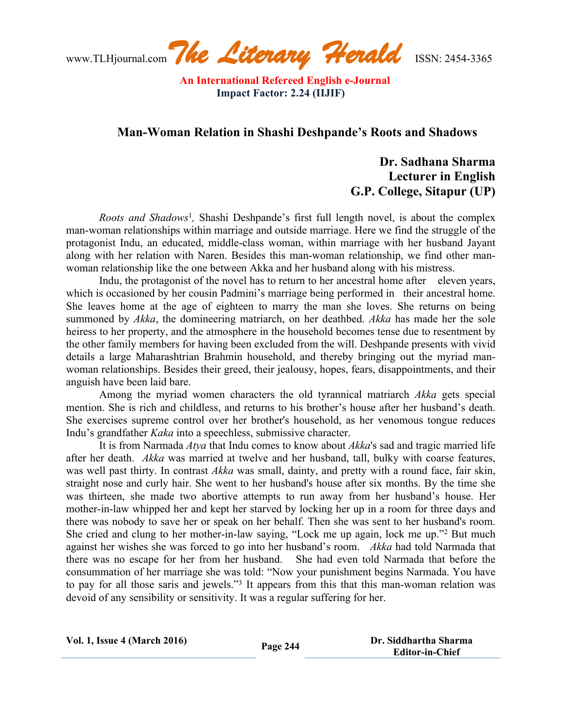www.TLHjournal.com*The Literary Herald*ISSN: 2454-3365

## **Man-Woman Relation in Shashi Deshpande's Roots and Shadows**

## **Dr. Sadhana Sharma Lecturer in English G.P. College, Sitapur (UP)**

*Roots and Shadows*<sup>1</sup> *,* Shashi Deshpande's first full length novel, is about the complex man-woman relationships within marriage and outside marriage. Here we find the struggle of the protagonist Indu, an educated, middle-class woman, within marriage with her husband Jayant along with her relation with Naren. Besides this man-woman relationship, we find other manwoman relationship like the one between Akka and her husband along with his mistress.

Indu, the protagonist of the novel has to return to her ancestral home after eleven years, which is occasioned by her cousin Padmini's marriage being performed in their ancestral home. She leaves home at the age of eighteen to marry the man she loves. She returns on being summoned by *Akka*, the domineering matriarch, on her deathbed. *Akka* has made her the sole heiress to her property, and the atmosphere in the household becomes tense due to resentment by the other family members for having been excluded from the will. Deshpande presents with vivid details a large Maharashtrian Brahmin household, and thereby bringing out the myriad manwoman relationships. Besides their greed, their jealousy, hopes, fears, disappointments, and their anguish have been laid bare.

Among the myriad women characters the old tyrannical matriarch *Akka* gets special mention. She is rich and childless, and returns to his brother's house after her husband's death. She exercises supreme control over her brother's household, as her venomous tongue reduces Indu's grandfather *Kaka* into a speechless, submissive character.

It is from Narmada *Atya* that Indu comes to know about *Akka*'s sad and tragic married life after her death. *Akka* was married at twelve and her husband, tall, bulky with coarse features, was well past thirty. In contrast *Akka* was small, dainty, and pretty with a round face, fair skin, straight nose and curly hair. She went to her husband's house after six months. By the time she was thirteen, she made two abortive attempts to run away from her husband's house. Her mother-in-law whipped her and kept her starved by locking her up in a room for three days and there was nobody to save her or speak on her behalf. Then she was sent to her husband's room. She cried and clung to her mother-in-law saying, "Lock me up again, lock me up."<sup>2</sup> But much against her wishes she was forced to go into her husband's room. *Akka* had told Narmada that there was no escape for her from her husband. She had even told Narmada that before the consummation of her marriage she was told: "Now your punishment begins Narmada. You have to pay for all those saris and jewels."<sup>3</sup> It appears from this that this man-woman relation was devoid of any sensibility or sensitivity. It was a regular suffering for her.

| <b>Vol. 1, Issue 4 (March 2016)</b> | Page 244 | Dr. Siddhartha Sharma<br><b>Editor-in-Chief</b> |
|-------------------------------------|----------|-------------------------------------------------|
|                                     |          |                                                 |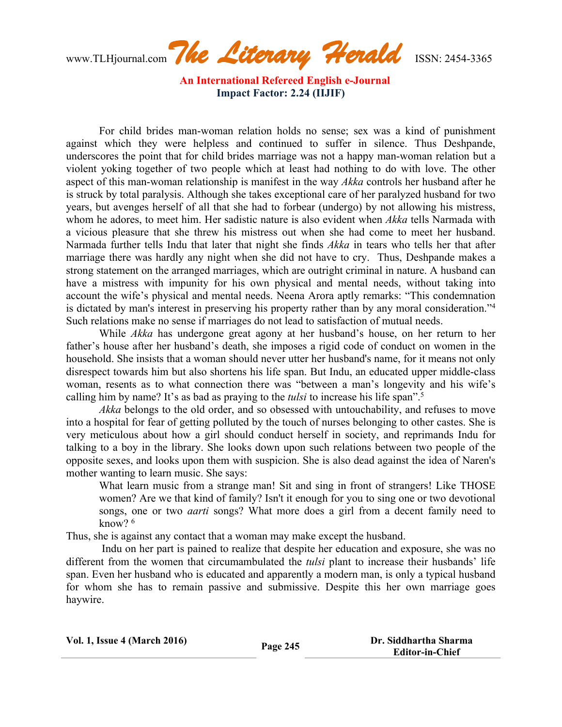www.TLHjournal.com*The Literary Herald*ISSN: 2454-3365

For child brides man-woman relation holds no sense; sex was a kind of punishment against which they were helpless and continued to suffer in silence. Thus Deshpande, underscores the point that for child brides marriage was not a happy man-woman relation but a violent yoking together of two people which at least had nothing to do with love. The other aspect of this man-woman relationship is manifest in the way *Akka* controls her husband after he is struck by total paralysis. Although she takes exceptional care of her paralyzed husband for two years, but avenges herself of all that she had to forbear (undergo) by not allowing his mistress, whom he adores, to meet him. Her sadistic nature is also evident when *Akka* tells Narmada with a vicious pleasure that she threw his mistress out when she had come to meet her husband. Narmada further tells Indu that later that night she finds *Akka* in tears who tells her that after marriage there was hardly any night when she did not have to cry. Thus, Deshpande makes a strong statement on the arranged marriages, which are outright criminal in nature. A husband can have a mistress with impunity for his own physical and mental needs, without taking into account the wife's physical and mental needs. Neena Arora aptly remarks: "This condemnation is dictated by man's interest in preserving his property rather than by any moral consideration."<sup>4</sup> Such relations make no sense if marriages do not lead to satisfaction of mutual needs.

While *Akka* has undergone great agony at her husband's house, on her return to her father's house after her husband's death, she imposes a rigid code of conduct on women in the household. She insists that a woman should never utter her husband's name, for it means not only disrespect towards him but also shortens his life span. But Indu, an educated upper middle-class woman, resents as to what connection there was "between a man's longevity and his wife's calling him by name? It's as bad as praying to the *tulsi* to increase his life span".<sup>5</sup>

*Akka* belongs to the old order, and so obsessed with untouchability, and refuses to move into a hospital for fear of getting polluted by the touch of nurses belonging to other castes. She is very meticulous about how a girl should conduct herself in society, and reprimands Indu for talking to a boy in the library. She looks down upon such relations between two people of the opposite sexes, and looks upon them with suspicion. She is also dead against the idea of Naren's mother wanting to learn music. She says:

What learn music from a strange man! Sit and sing in front of strangers! Like THOSE women? Are we that kind of family? Isn't it enough for you to sing one or two devotional songs, one or two *aarti* songs? What more does a girl from a decent family need to know? <sup>6</sup>

Thus, she is against any contact that a woman may make except the husband.

Indu on her part is pained to realize that despite her education and exposure, she was no different from the women that circumambulated the *tulsi* plant to increase their husbands' life span. Even her husband who is educated and apparently a modern man, is only a typical husband for whom she has to remain passive and submissive. Despite this her own marriage goes haywire.

| <b>Vol. 1, Issue 4 (March 2016)</b> | Page 245 | Dr. Siddhartha Sharma<br><b>Editor-in-Chief</b> |
|-------------------------------------|----------|-------------------------------------------------|
|                                     |          |                                                 |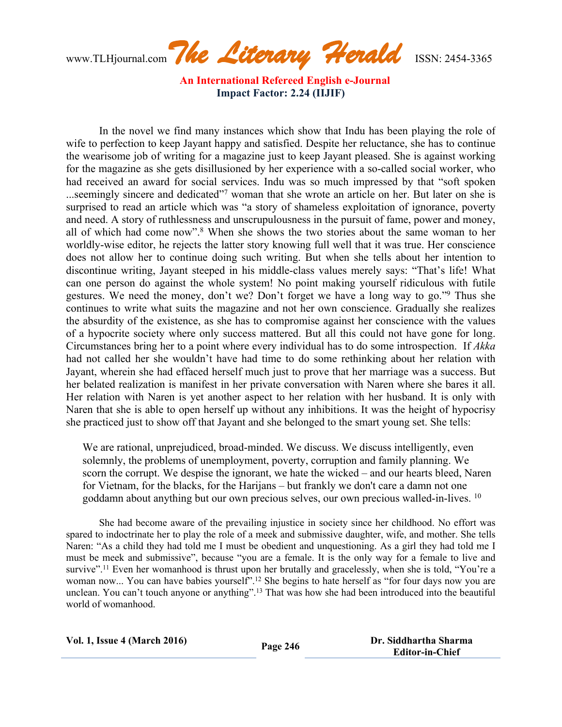www.TLHjournal.com*The Literary Herald*ISSN: 2454-3365

In the novel we find many instances which show that Indu has been playing the role of wife to perfection to keep Jayant happy and satisfied. Despite her reluctance, she has to continue the wearisome job of writing for a magazine just to keep Jayant pleased. She is against working for the magazine as she gets disillusioned by her experience with a so-called social worker, who had received an award for social services. Indu was so much impressed by that "soft spoken ...seemingly sincere and dedicated"<sup>7</sup> woman that she wrote an article on her. But later on she is surprised to read an article which was "a story of shameless exploitation of ignorance, poverty and need. A story of ruthlessness and unscrupulousness in the pursuit of fame, power and money, all of which had come now".<sup>8</sup> When she shows the two stories about the same woman to her worldly-wise editor, he rejects the latter story knowing full well that it was true. Her conscience does not allow her to continue doing such writing. But when she tells about her intention to discontinue writing, Jayant steeped in his middle-class values merely says: "That's life! What can one person do against the whole system! No point making yourself ridiculous with futile gestures. We need the money, don't we? Don't forget we have a long way to go."<sup>9</sup> Thus she continues to write what suits the magazine and not her own conscience. Gradually she realizes the absurdity of the existence, as she has to compromise against her conscience with the values of a hypocrite society where only success mattered. But all this could not have gone for long. Circumstances bring her to a point where every individual has to do some introspection. If *Akka* had not called her she wouldn't have had time to do some rethinking about her relation with Jayant, wherein she had effaced herself much just to prove that her marriage was a success. But her belated realization is manifest in her private conversation with Naren where she bares it all. Her relation with Naren is yet another aspect to her relation with her husband. It is only with Naren that she is able to open herself up without any inhibitions. It was the height of hypocrisy she practiced just to show off that Jayant and she belonged to the smart young set. She tells:

We are rational, unprejudiced, broad-minded. We discuss. We discuss intelligently, even solemnly, the problems of unemployment, poverty, corruption and family planning. We scorn the corrupt. We despise the ignorant, we hate the wicked – and our hearts bleed, Naren for Vietnam, for the blacks, for the Harijans – but frankly we don't care a damn not one goddamn about anything but our own precious selves, our own precious walled-in-lives. <sup>10</sup>

She had become aware of the prevailing injustice in society since her childhood. No effort was spared to indoctrinate her to play the role of a meek and submissive daughter, wife, and mother. She tells Naren: "As a child they had told me I must be obedient and unquestioning. As a girl they had told me I must be meek and submissive", because "you are a female. It is the only way for a female to live and survive".<sup>11</sup> Even her womanhood is thrust upon her brutally and gracelessly, when she is told, "You're a woman now... You can have babies yourself".<sup>12</sup> She begins to hate herself as "for four days now you are unclean. You can't touch anyone or anything".<sup>13</sup> That was how she had been introduced into the beautiful world of womanhood.

| <b>Vol. 1, Issue 4 (March 2016)</b> | Page 246 | Dr. Siddhartha Sharma  |
|-------------------------------------|----------|------------------------|
|                                     |          | <b>Editor-in-Chief</b> |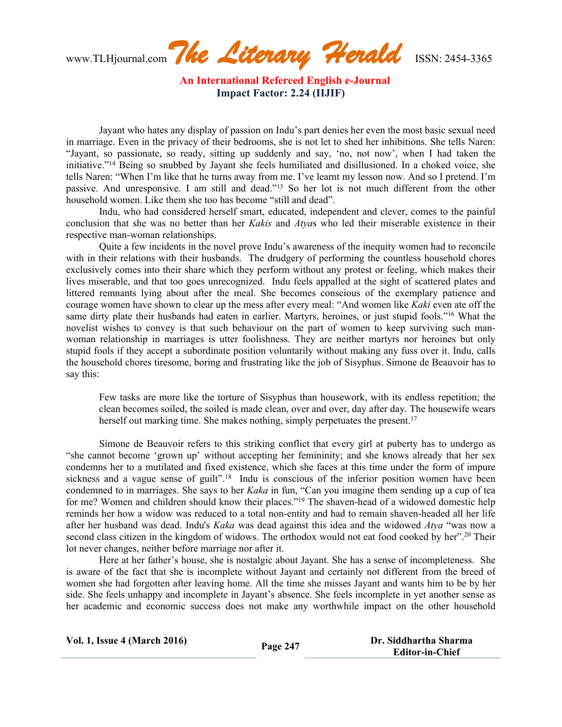www.TLHjournal.com*The Literary Herald*ISSN: 2454-3365

Jayant who hates any display of passion on Indu's part denies her even the most basic sexual need in marriage. Even in the privacy of their bedrooms, she is not let to shed her inhibitions. She tells Naren: "Jayant, so passionate, so ready, sitting up suddenly and say, 'no, not now', when I had taken the initiative."<sup>14</sup> Being so snubbed by Jayant she feels humiliated and disillusioned. In a choked voice, she tells Naren: "When I'm like that he turns away from me. I've learnt my lesson now. And so I pretend. I'm passive. And unresponsive. I am still and dead."<sup>15</sup> So her lot is not much different from the other household women. Like them she too has become "still and dead".

Indu, who had considered herself smart, educated, independent and clever, comes to the painful conclusion that she was no better than her *Kakis* and *Atya*s who led their miserable existence in their respective man-woman relationships.

Quite a few incidents in the novel prove Indu's awareness of the inequity women had to reconcile with in their relations with their husbands. The drudgery of performing the countless household chores exclusively comes into their share which they perform without any protest or feeling, which makes their lives miserable, and that too goes unrecognized. Indu feels appalled at the sight of scattered plates and littered remnants lying about after the meal. She becomes conscious of the exemplary patience and courage women have shown to clear up the mess after every meal: "And women like *Kaki* even ate off the same dirty plate their husbands had eaten in earlier. Martyrs, heroines, or just stupid fools."<sup>16</sup> What the novelist wishes to convey is that such behaviour on the part of women to keep surviving such manwoman relationship in marriages is utter foolishness. They are neither martyrs nor heroines but only stupid fools if they accept a subordinate position voluntarily without making any fuss over it. Indu, calls the household chores tiresome, boring and frustrating like the job of Sisyphus. Simone de Beauvoir has to say this:

Few tasks are more like the torture of Sisyphus than housework, with its endless repetition; the clean becomes soiled, the soiled is made clean, over and over, day after day. The housewife wears herself out marking time. She makes nothing, simply perpetuates the present.<sup>17</sup>

Simone de Beauvoir refers to this striking conflict that every girl at puberty has to undergo as "she cannot become 'grown up' without accepting her femininity; and she knows already that her sex condemns her to a mutilated and fixed existence, which she faces at this time under the form of impure sickness and a vague sense of guilt".<sup>18</sup> Indu is conscious of the inferior position women have been condemned to in marriages. She says to her *Kaka* in fun, "Can you imagine them sending up a cup of tea for me? Women and children should know their places."<sup>19</sup> The shaven-head of a widowed domestic help reminds her how a widow was reduced to a total non-entity and had to remain shaven-headed all her life after her husband was dead. Indu's *Kaka* was dead against this idea and the widowed *Atya* "was now a second class citizen in the kingdom of widows. The orthodox would not eat food cooked by her".<sup>20</sup> Their lot never changes, neither before marriage nor after it.

Here at her father's house, she is nostalgic about Jayant. She has a sense of incompleteness. She is aware of the fact that she is incomplete without Jayant and certainly not different from the breed of women she had forgotten after leaving home. All the time she misses Jayant and wants him to be by her side. She feels unhappy and incomplete in Jayant's absence. She feels incomplete in yet another sense as her academic and economic success does not make any worthwhile impact on the other household

| <b>Vol. 1, Issue 4 (March 2016)</b> | Page 247 | Dr. Siddhartha Sharma  |
|-------------------------------------|----------|------------------------|
|                                     |          | <b>Editor-in-Chief</b> |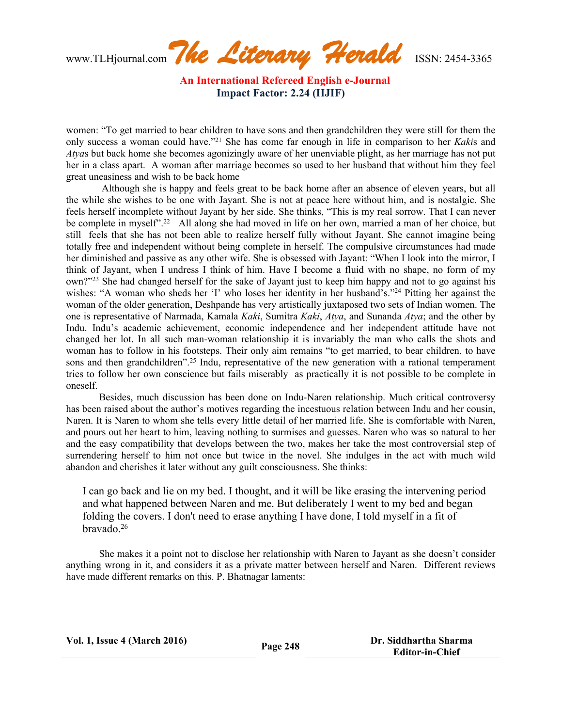www.TLHjournal.com*The Literary Herald*ISSN: 2454-3365

women: "To get married to bear children to have sons and then grandchildren they were still for them the only success a woman could have."<sup>21</sup> She has come far enough in life in comparison to her *Kaki*s and *Atya*s but back home she becomes agonizingly aware of her unenviable plight, as her marriage has not put her in a class apart. A woman after marriage becomes so used to her husband that without him they feel great uneasiness and wish to be back home

Although she is happy and feels great to be back home after an absence of eleven years, but all the while she wishes to be one with Jayant. She is not at peace here without him, and is nostalgic. She feels herself incomplete without Jayant by her side. She thinks, "This is my real sorrow. That I can never be complete in myself".<sup>22</sup> All along she had moved in life on her own, married a man of her choice, but still feels that she has not been able to realize herself fully without Jayant. She cannot imagine being totally free and independent without being complete in herself. The compulsive circumstances had made her diminished and passive as any other wife. She is obsessed with Jayant: "When I look into the mirror, I think of Jayant, when I undress I think of him. Have I become a fluid with no shape, no form of my own?"<sup>23</sup> She had changed herself for the sake of Jayant just to keep him happy and not to go against his wishes: "A woman who sheds her 'I' who loses her identity in her husband's."<sup>24</sup> Pitting her against the woman of the older generation, Deshpande has very artistically juxtaposed two sets of Indian women. The one is representative of Narmada, Kamala *Kaki*, Sumitra *Kaki*, *Atya*, and Sunanda *Atya*; and the other by Indu. Indu's academic achievement, economic independence and her independent attitude have not changed her lot. In all such man-woman relationship it is invariably the man who calls the shots and woman has to follow in his footsteps. Their only aim remains "to get married, to bear children, to have sons and then grandchildren".<sup>25</sup> Indu, representative of the new generation with a rational temperament tries to follow her own conscience but fails miserably as practically it is not possible to be complete in oneself.

Besides, much discussion has been done on Indu-Naren relationship. Much critical controversy has been raised about the author's motives regarding the incestuous relation between Indu and her cousin, Naren. It is Naren to whom she tells every little detail of her married life. She is comfortable with Naren, and pours out her heart to him, leaving nothing to surmises and guesses. Naren who was so natural to her and the easy compatibility that develops between the two, makes her take the most controversial step of surrendering herself to him not once but twice in the novel. She indulges in the act with much wild abandon and cherishes it later without any guilt consciousness. She thinks:

I can go back and lie on my bed. I thought, and it will be like erasing the intervening period and what happened between Naren and me. But deliberately I went to my bed and began folding the covers. I don't need to erase anything I have done, I told myself in a fit of  $brav^2$ <sup>26</sup>

She makes it a point not to disclose her relationship with Naren to Jayant as she doesn't consider anything wrong in it, and considers it as a private matter between herself and Naren. Different reviews have made different remarks on this. P. Bhatnagar laments: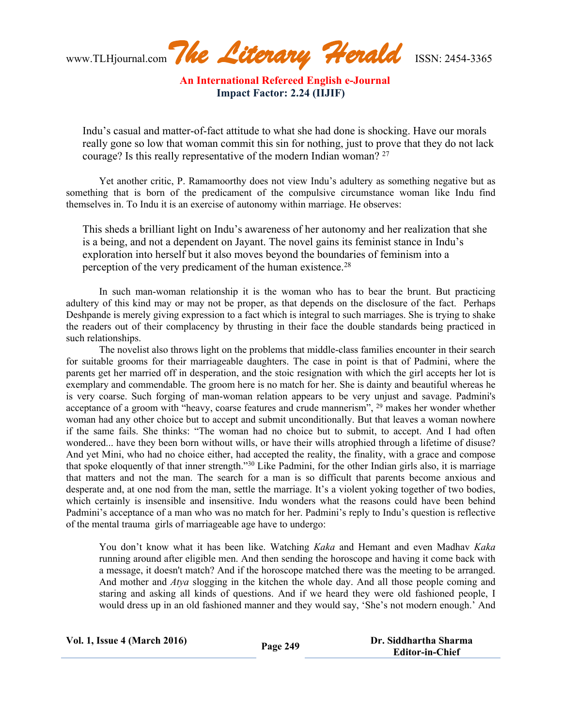www.TLHjournal.com*The Literary Herald*ISSN: 2454-3365

Indu's casual and matter-of-fact attitude to what she had done is shocking. Have our morals really gone so low that woman commit this sin for nothing, just to prove that they do not lack courage? Is this really representative of the modern Indian woman? <sup>27</sup>

Yet another critic, P. Ramamoorthy does not view Indu's adultery as something negative but as something that is born of the predicament of the compulsive circumstance woman like Indu find themselves in. To Indu it is an exercise of autonomy within marriage. He observes:

This sheds a brilliant light on Indu's awareness of her autonomy and her realization that she is a being, and not a dependent on Jayant. The novel gains its feminist stance in Indu's exploration into herself but it also moves beyond the boundaries of feminism into a perception of the very predicament of the human existence.<sup>28</sup>

In such man-woman relationship it is the woman who has to bear the brunt. But practicing adultery of this kind may or may not be proper, as that depends on the disclosure of the fact. Perhaps Deshpande is merely giving expression to a fact which is integral to such marriages. She is trying to shake the readers out of their complacency by thrusting in their face the double standards being practiced in such relationships.

The novelist also throws light on the problems that middle-class families encounter in their search for suitable grooms for their marriageable daughters. The case in point is that of Padmini, where the parents get her married off in desperation, and the stoic resignation with which the girl accepts her lot is exemplary and commendable. The groom here is no match for her. She is dainty and beautiful whereas he is very coarse. Such forging of man-woman relation appears to be very unjust and savage. Padmini's acceptance of a groom with "heavy, coarse features and crude mannerism", <sup>29</sup> makes her wonder whether woman had any other choice but to accept and submit unconditionally. But that leaves a woman nowhere if the same fails. She thinks: "The woman had no choice but to submit, to accept. And I had often wondered... have they been born without wills, or have their wills atrophied through a lifetime of disuse? And yet Mini, who had no choice either, had accepted the reality, the finality, with a grace and compose that spoke eloquently of that inner strength."<sup>30</sup> Like Padmini, for the other Indian girls also, it is marriage that matters and not the man. The search for a man is so difficult that parents become anxious and desperate and, at one nod from the man, settle the marriage. It's a violent yoking together of two bodies, which certainly is insensible and insensitive. Indu wonders what the reasons could have been behind Padmini's acceptance of a man who was no match for her. Padmini's reply to Indu's question is reflective of the mental trauma girls of marriageable age have to undergo:

You don't know what it has been like. Watching *Kaka* and Hemant and even Madhav *Kaka* running around after eligible men. And then sending the horoscope and having it come back with a message, it doesn't match? And if the horoscope matched there was the meeting to be arranged. And mother and *Atya* slogging in the kitchen the whole day. And all those people coming and staring and asking all kinds of questions. And if we heard they were old fashioned people, I would dress up in an old fashioned manner and they would say, 'She's not modern enough.' And

| <b>Vol. 1, Issue 4 (March 2016)</b> | Page 249 | Dr. Siddhartha Sharma  |
|-------------------------------------|----------|------------------------|
|                                     |          | <b>Editor-in-Chief</b> |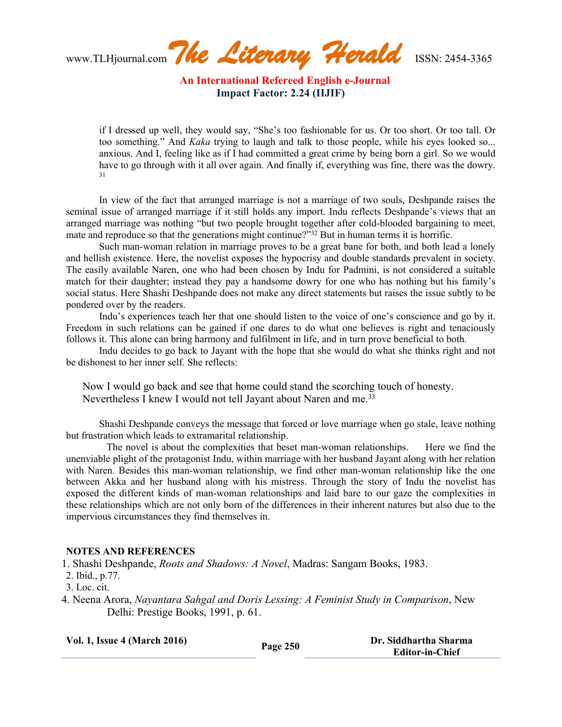www.TLHjournal.com*The Literary Herald*ISSN: 2454-3365

if I dressed up well, they would say, "She's too fashionable for us. Or too short. Or too tall. Or too something." And *Kaka* trying to laugh and talk to those people, while his eyes looked so... anxious. And I, feeling like as if I had committed a great crime by being born a girl. So we would have to go through with it all over again. And finally if, everything was fine, there was the dowry. 31

In view of the fact that arranged marriage is not a marriage of two souls, Deshpande raises the seminal issue of arranged marriage if it still holds any import. Indu reflects Deshpande's views that an arranged marriage was nothing "but two people brought together after cold-blooded bargaining to meet, mate and reproduce so that the generations might continue?"<sup>32</sup> But in human terms it is horrific.

Such man-woman relation in marriage proves to be a great bane for both, and both lead a lonely and hellish existence. Here, the novelist exposes the hypocrisy and double standards prevalent in society. The easily available Naren, one who had been chosen by Indu for Padmini, is not considered a suitable match for their daughter; instead they pay a handsome dowry for one who has nothing but his family's social status. Here Shashi Deshpande does not make any direct statements but raises the issue subtly to be pondered over by the readers.

Indu's experiences teach her that one should listen to the voice of one's conscience and go by it. Freedom in such relations can be gained if one dares to do what one believes is right and tenaciously follows it. This alone can bring harmony and fulfilment in life, and in turn prove beneficial to both.

Indu decides to go back to Jayant with the hope that she would do what she thinks right and not be dishonest to her inner self. She reflects:

Now I would go back and see that home could stand the scorching touch of honesty. Nevertheless I knew I would not tell Jayant about Naren and me.<sup>33</sup>

Shashi Deshpande conveys the message that forced or love marriage when go stale, leave nothing but frustration which leads to extramarital relationship.

The novel is about the complexities that beset man-woman relationships. Here we find the unenviable plight of the protagonist Indu, within marriage with her husband Jayant along with her relation with Naren. Besides this man-woman relationship, we find other man-woman relationship like the one between Akka and her husband along with his mistress. Through the story of Indu the novelist has exposed the different kinds of man-woman relationships and laid bare to our gaze the complexities in these relationships which are not only born of the differences in their inherent natures but also due to the impervious circumstances they find themselves in.

## **NOTES AND REFERENCES**

1. Shashi Deshpande, *Roots and Shadows: A Novel*, Madras: Sangam Books, 1983.

- 2. Ibid., p.77.
- 3. Loc. cit.
- 4. Neena Arora, *Nayantara Sahgal and Doris Lessing: A Feminist Study in Comparison*, New Delhi: Prestige Books, 1991, p. 61.

| <b>Vol. 1, Issue 4 (March 2016)</b> | Page 250 | Dr. Siddhartha Sharma  |
|-------------------------------------|----------|------------------------|
|                                     |          | <b>Editor-in-Chief</b> |